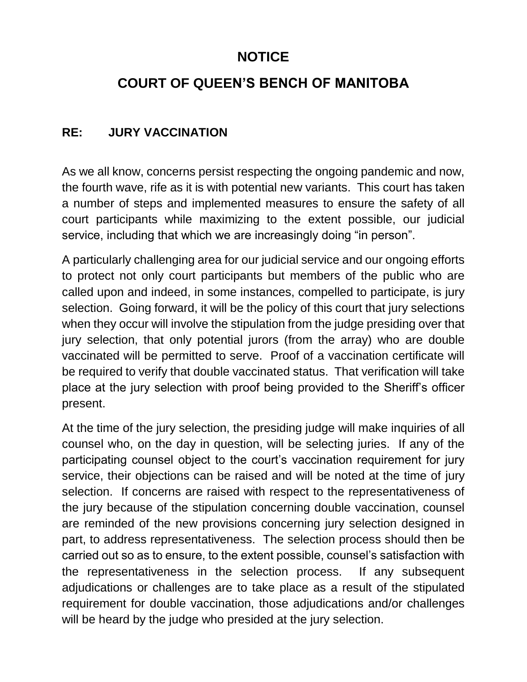## **NOTICE**

# **COURT OF QUEEN'S BENCH OF MANITOBA**

### **RE: JURY VACCINATION**

As we all know, concerns persist respecting the ongoing pandemic and now, the fourth wave, rife as it is with potential new variants. This court has taken a number of steps and implemented measures to ensure the safety of all court participants while maximizing to the extent possible, our judicial service, including that which we are increasingly doing "in person".

A particularly challenging area for our judicial service and our ongoing efforts to protect not only court participants but members of the public who are called upon and indeed, in some instances, compelled to participate, is jury selection. Going forward, it will be the policy of this court that jury selections when they occur will involve the stipulation from the judge presiding over that jury selection, that only potential jurors (from the array) who are double vaccinated will be permitted to serve. Proof of a vaccination certificate will be required to verify that double vaccinated status. That verification will take place at the jury selection with proof being provided to the Sheriff's officer present.

At the time of the jury selection, the presiding judge will make inquiries of all counsel who, on the day in question, will be selecting juries. If any of the participating counsel object to the court's vaccination requirement for jury service, their objections can be raised and will be noted at the time of jury selection. If concerns are raised with respect to the representativeness of the jury because of the stipulation concerning double vaccination, counsel are reminded of the new provisions concerning jury selection designed in part, to address representativeness. The selection process should then be carried out so as to ensure, to the extent possible, counsel's satisfaction with the representativeness in the selection process. If any subsequent adjudications or challenges are to take place as a result of the stipulated requirement for double vaccination, those adjudications and/or challenges will be heard by the judge who presided at the jury selection.